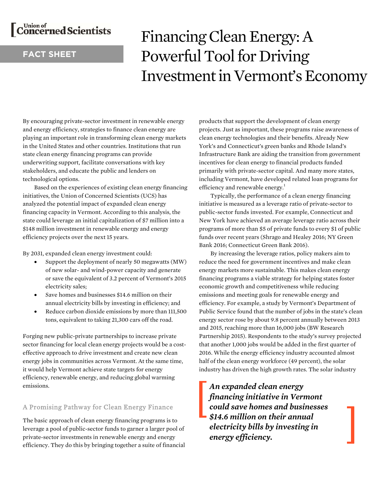# C<sup>Union of</sup> Scientists

## **FACT SHEET**

# Financing Clean Energy: A Powerful Tool for Driving Investment in Vermont's Economy

By encouraging private-sector investment in renewable energy and energy efficiency, strategies to finance clean energy are playing an important role in transforming clean energy markets in the United States and other countries. Institutions that run state clean energy financing programs can provide underwriting support, facilitate conversations with key stakeholders, and educate the public and lenders on technological options.

Based on the experiences of existing clean energy financing initiatives, the Union of Concerned Scientists (UCS) has analyzed the potential impact of expanded clean energy financing capacity in Vermont. According to this analysis, the state could leverage an initial capitalization of \$7 million into a \$148 million investment in renewable energy and energy efficiency projects over the next 15 years.

By 2031, expanded clean energy investment could:

- Support the deployment of nearly 50 megawatts (MW) of new solar- and wind-power capacity and generate or save the equivalent of 3.2 percent of Vermont's 2015 electricity sales;
- Save homes and businesses \$14.6 million on their annual electricity bills by investing in efficiency; and
- Reduce carbon dioxide emissions by more than 111,500 tons, equivalent to taking 21,300 cars off the road.

Forging new public-private partnerships to increase private sector financing for local clean energy projects would be a costeffective approach to drive investment and create new clean energy jobs in communities across Vermont. At the same time, it would help Vermont achieve state targets for energy efficiency, renewable energy, and reducing global warming emissions.

## A Promising Pathway for Clean Energy Finance

The basic approach of clean energy financing programs is to leverage a pool of public-sector funds to garner a larger pool of private-sector investments in renewable energy and energy efficiency. They do this by bringing together a suite of financial products that support the development of clean energy projects. Just as important, these programs raise awareness of clean energy technologies and their benefits. Already New York's and Connecticut's green banks and Rhode Island's Infrastructure Bank are aiding the transition from government incentives for clean energy to financial products funded primarily with private-sector capital. And many more states, including Vermont, have developed related loan programs for efficiency and renewable energy.<sup>1</sup>

 Typically, the performance of a clean energy financing initiative is measured as a leverage ratio of private-sector to public-sector funds invested. For example, Connecticut and New York have achieved an average leverage ratio across their programs of more than \$5 of private funds to every \$1 of public funds over recent years (Shrago and Healey 2016; NY Green Bank 2016; Connecticut Green Bank 2016).

 By increasing the leverage ratios, policy makers aim to reduce the need for government incentives and make clean energy markets more sustainable. This makes clean energy financing programs a viable strategy for helping states foster economic growth and competitiveness while reducing emissions and meeting goals for renewable energy and efficiency. For example, a study by Vermont's Department of Public Service found that the number of jobs in the state's clean energy sector rose by about 9.8 percent annually between 2013 and 2015, reaching more than 16,000 jobs (BW Research Partnership 2015). Respondents to the study's survey projected that another 1,000 jobs would be added in the first quarter of 2016. While the energy efficiency industry accounted almost half of the clean energy workforce (49 percent), the solar industry has driven the high growth rates. The solar industry

*An expanded clean energy financing initiative in Vermont could save homes and businesses \$14.6 million on their annual electricity bills by investing in energy efficiency.*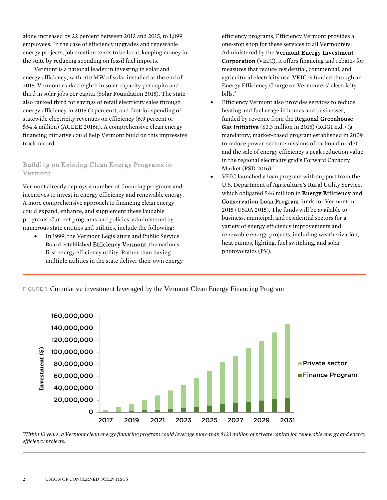alone increased by 22 percent between 2013 and 2015, to 1,899 employees. In the case of efficiency upgrades and renewable energy projects, job creation tends to be local, keeping money in the state by reducing spending on fossil fuel imports.

 Vermont is a national leader in investing in solar and energy efficiency, with 100 MW of solar installed at the end of 2015. Vermont ranked eighth in solar capacity per capita and third in solar jobs per capita (Solar Foundation 2015). The state also ranked third for savings of retail electricity sales through energy efficiency in 2015 (2 percent), and first for spending of statewide electricity revenues on efficiency (6.9 percent or \$54.4 million) (ACEEE 2016a). A comprehensive clean energy financing initiative could help Vermont build on this impressive track record.

### Building on Existing Clean Energy Programs in Vermont

Vermont already deploys a number of financing programs and incentives to invest in energy efficiency and renewable energy. A more comprehensive approach to financing clean energy could expand, enhance, and supplement these laudable programs. Current programs and policies, administered by numerous state entities and utilities, include the following:

 In 1999, the Vermont Legislature and Public Service Board established Efficiency Vermont, the nation's first energy efficiency utility. Rather than having multiple utilities in the state deliver their own energy

efficiency programs, Efficiency Vermont provides a one-stop shop for these services to all Vermonters. Administered by the Vermont Energy Investment Corporation (VEIC), it offers financing and rebates for measures that reduce residential, commercial, and agricultural electricity use. VEIC is funded through an Energy Efficiency Charge on Vermonters' electricity bills.<sup>2</sup>

- Efficiency Vermont also provides services to reduce heating and fuel usage in homes and businesses, funded by revenue from the Regional Greenhouse Gas Initiative (\$3.3 million in 2015) (RGGI n.d.) (a mandatory, market-based program established in 2009 to reduce power-sector emissions of carbon dioxide) and the sale of energy efficiency's peak reduction value in the regional electricity grid's Forward Capacity Market (PSD 2016). $3$
- VEIC launched a loan program with support from the U.S. Department of Agriculture's Rural Utility Service, which obligated \$46 million in **Energy Efficiency and** Conservation Loan Program funds for Vermont in 2015 (USDA 2015). The funds will be available to business, municipal, and residential sectors for a variety of energy efficiency improvements and renewable energy projects, including weatherization, heat pumps, lighting, fuel switching, and solar photovoltaics (PV).

FIGURE 1. Cumulative investment leveraged by the Vermont Clean Energy Financing Program



Within 15 years, a Vermont clean energy financing program could leverage more than \$123 million of private capital for renewable energy and energy *efficiency projects.*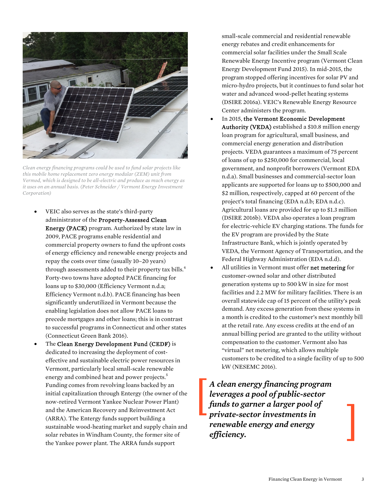

*Clean energy financing programs could be used to fund solar projects like this mobile home replacement zero energy modular (ZEM) unit from Vermod, which is designed to be all-electric and produce as much energy as it uses on an annual basis. (Peter Schneider / Vermont Energy Investment Corporation)* 

- VEIC also serves as the state's third-party administrator of the Property-Assessed Clean Energy (PACE) program. Authorized by state law in 2009, PACE programs enable residential and commercial property owners to fund the upfront costs of energy efficiency and renewable energy projects and repay the costs over time (usually 10–20 years) through assessments added to their property tax bills.<sup>4</sup> Forty-two towns have adopted PACE financing for loans up to \$30,000 (Efficiency Vermont n.d.a; Efficiency Vermont n.d.b). PACE financing has been significantly underutilized in Vermont because the enabling legislation does not allow PACE loans to precede mortgages and other loans; this is in contrast to successful programs in Connecticut and other states (Connecticut Green Bank 2016).
- The Clean Energy Development Fund (CEDF) is dedicated to increasing the deployment of costeffective and sustainable electric power resources in Vermont, particularly local small-scale renewable energy and combined heat and power projects.<sup>5</sup> Funding comes from revolving loans backed by an initial capitalization through Entergy (the owner of the now-retired Vermont Yankee Nuclear Power Plant) and the American Recovery and Reinvestment Act (ARRA). The Entergy funds support building a sustainable wood-heating market and supply chain and solar rebates in Windham County, the former site of the Yankee power plant. The ARRA funds support

small-scale commercial and residential renewable energy rebates and credit enhancements for commercial solar facilities under the Small Scale Renewable Energy Incentive program (Vermont Clean Energy Development Fund 2015). In mid-2015, the program stopped offering incentives for solar PV and micro-hydro projects, but it continues to fund solar hot water and advanced wood-pellet heating systems (DSIRE 2016a). VEIC's Renewable Energy Resource Center administers the program.

- In 2015, the Vermont Economic Development Authority (VEDA) established a \$10.8 million energy loan program for agricultural, small business, and commercial energy generation and distribution projects. VEDA guarantees a maximum of 75 percent of loans of up to \$250,000 for commercial, local government, and nonprofit borrowers (Vermont EDA n.d.a). Small businesses and commercial-sector loan applicants are supported for loans up to \$500,000 and \$2 million, respectively, capped at 60 percent of the project's total financing (EDA n.d.b; EDA n.d.c). Agricultural loans are provided for up to \$1.3 million (DSIRE 2016b). VEDA also operates a loan program for electric-vehicle EV charging stations. The funds for the EV program are provided by the State Infrastructure Bank, which is jointly operated by VEDA, the Vermont Agency of Transportation, and the Federal Highway Administration (EDA n.d.d).
- All utilities in Vermont must offer net metering for customer-owned solar and other distributed generation systems up to 500 kW in size for most facilities and 2.2 MW for military facilities. There is an overall statewide cap of 15 percent of the utility's peak demand. Any excess generation from these systems in a month is credited to the customer's next monthly bill at the retail rate. Any excess credits at the end of an annual billing period are granted to the utility without compensation to the customer. Vermont also has "virtual" net metering, which allows multiple customers to be credited to a single facility of up to 500 kW (NESEMC 2016).

*A clean energy financing program leverages a pool of public-sector funds to garner a larger pool of private-sector investments in renewable energy and energy efficiency.*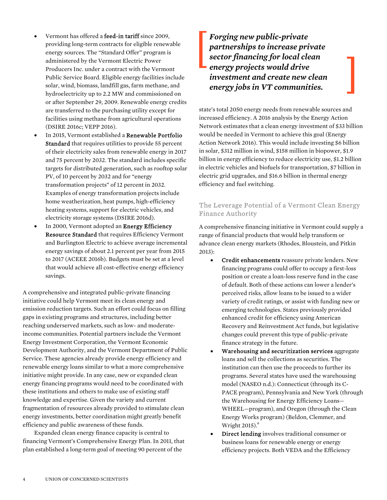- Vermont has offered a feed-in tariff since 2009, providing long-term contracts for eligible renewable energy sources. The "Standard Offer" program is administered by the Vermont Electric Power Producers Inc. under a contract with the Vermont Public Service Board. Eligible energy facilities include solar, wind, biomass, landfill gas, farm methane, and hydroelectricity up to 2.2 MW and commissioned on or after September 29, 2009. Renewable energy credits are transferred to the purchasing utility except for facilities using methane from agricultural operations (DSIRE 2016c; VEPP 2016).
- In 2015, Vermont established a Renewable Portfolio Standard that requires utilities to provide 55 percent of their electricity sales from renewable energy in 2017 and 75 percent by 2032. The standard includes specific targets for distributed generation, such as rooftop solar PV, of 10 percent by 2032 and for "energy transformation projects" of 12 percent in 2032. Examples of energy transformation projects include home weatherization, heat pumps, high-efficiency heating systems, support for electric vehicles, and electricity storage systems (DSIRE 2016d).
- In 2000, Vermont adopted an Energy Efficiency Resource Standard that requires Efficiency Vermont and Burlington Electric to achieve average incremental energy savings of about 2.1 percent per year from 2015 to 2017 (ACEEE 2016b). Budgets must be set at a level that would achieve all cost-effective energy efficiency savings.

A comprehensive and integrated public-private financing initiative could help Vermont meet its clean energy and emission reduction targets. Such an effort could focus on filling gaps in existing programs and structures, including better reaching underserved markets, such as low- and moderateincome communities. Potential partners include the Vermont Energy Investment Corporation, the Vermont Economic Development Authority, and the Vermont Department of Public Service. These agencies already provide energy efficiency and renewable energy loans similar to what a more comprehensive initiative might provide. In any case, new or expanded clean energy financing programs would need to be coordinated with these institutions and others to make use of existing staff knowledge and expertise. Given the variety and current fragmentation of resources already provided to stimulate clean energy investments, better coordination might greatly benefit efficiency and public awareness of these funds.

 Expanded clean energy finance capacity is central to financing Vermont's Comprehensive Energy Plan. In 2011, that plan established a long-term goal of meeting 90 percent of the

*Forging new public-private partnerships to increase private sector financing for local clean energy projects would drive investment and create new clean energy jobs in VT communities.* 

state's total 2050 energy needs from renewable sources and increased efficiency. A 2016 analysis by the Energy Action Network estimates that a clean energy investment of \$33 billion would be needed in Vermont to achieve this goal (Energy Action Network 2016). This would include investing \$6 billion in solar, \$312 million in wind, \$158 million in biopower, \$1.9 billion in energy efficiency to reduce electricity use, \$1.2 billion in electric vehicles and biofuels for transportation, \$7 billion in electric grid upgrades, and \$16.6 billion in thermal energy efficiency and fuel switching.

## The Leverage Potential of a Vermont Clean Energy Finance Authority

A comprehensive financing initiative in Vermont could supply a range of financial products that would help transform or advance clean energy markets (Rhodes, Bloustein, and Pitkin 2013):

- Credit enhancements reassure private lenders. New financing programs could offer to occupy a first-loss position or create a loan-loss reserve fund in the case of default. Both of these actions can lower a lender's perceived risks, allow loans to be issued to a wider variety of credit ratings, or assist with funding new or emerging technologies. States previously provided enhanced credit for efficiency using American Recovery and Reinvestment Act funds, but legislative changes could prevent this type of public-private finance strategy in the future.
- Warehousing and securitization services aggregate loans and sell the collections as securities. The institution can then use the proceeds to further its programs. Several states have used the warehousing model (NASEO n.d.): Connecticut (through its C-PACE program), Pennsylvania and New York (through the Warehousing for Energy Efficiency Loans— WHEEL—program), and Oregon (through the Clean Energy Works program) (Beldon, Clemmer, and Wright  $2015$ ). $<sup>6</sup>$ </sup>
- Direct lending involves traditional consumer or business loans for renewable energy or energy efficiency projects. Both VEDA and the Efficiency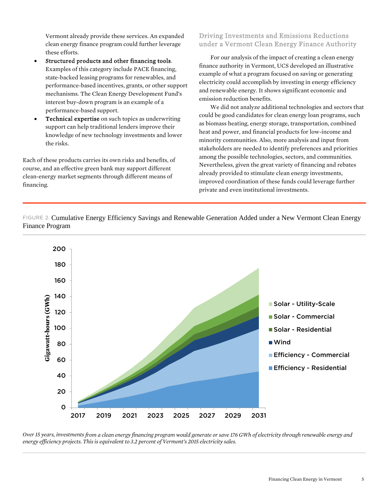Vermont already provide these services. An expanded clean energy finance program could further leverage these efforts.

- Structured products and other financing tools. Examples of this category include PACE financing, state-backed leasing programs for renewables, and performance-based incentives, grants, or other support mechanisms. The Clean Energy Development Fund's interest buy-down program is an example of a performance-based support.
- Technical expertise on such topics as underwriting support can help traditional lenders improve their knowledge of new technology investments and lower the risks.

Each of these products carries its own risks and benefits, of course, and an effective green bank may support different clean-energy market segments through different means of financing.

## Driving Investments and Emissions Reductions under a Vermont Clean Energy Finance Authority

For our analysis of the impact of creating a clean energy finance authority in Vermont, UCS developed an illustrative example of what a program focused on saving or generating electricity could accomplish by investing in energy efficiency and renewable energy. It shows significant economic and emission reduction benefits.

We did not analyze additional technologies and sectors that could be good candidates for clean energy loan programs, such as biomass heating, energy storage, transportation, combined heat and power, and financial products for low-income and minority communities. Also, more analysis and input from stakeholders are needed to identify preferences and priorities among the possible technologies, sectors, and communities. Nevertheless, given the great variety of financing and rebates already provided to stimulate clean energy investments, improved coordination of these funds could leverage further private and even institutional investments.

FIGURE 2. Cumulative Energy Efficiency Savings and Renewable Generation Added under a New Vermont Clean Energy Finance Program



*Over 15 years, investments from a clean energy financing program would generate or save 176 GWh of electricity through renewable energy and energy efficiency projects. This is equivalent to 3.2 percent of Vermont's 2015 electricity sales.*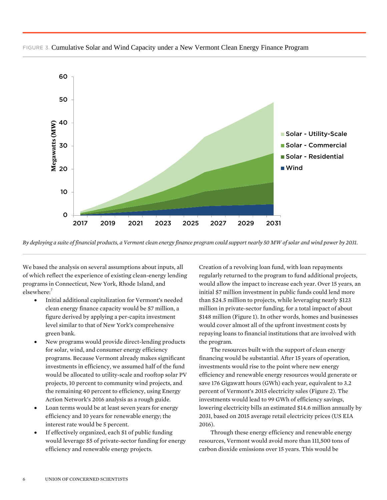

FIGURE 3. Cumulative Solar and Wind Capacity under a New Vermont Clean Energy Finance Program

*By deploying a suite of financial products, a Vermont clean energy finance program could support nearly 50 MW of solar and wind power by 2031.*

We based the analysis on several assumptions about inputs, all of which reflect the experience of existing clean-energy lending programs in Connecticut, New York, Rhode Island, and elsewhere:<sup>7</sup>

- Initial additional capitalization for Vermont's needed clean energy finance capacity would be \$7 million, a figure derived by applying a per-capita investment level similar to that of New York's comprehensive green bank.
- New programs would provide direct-lending products for solar, wind, and consumer energy efficiency programs. Because Vermont already makes significant investments in efficiency, we assumed half of the fund would be allocated to utility-scale and rooftop solar PV projects, 10 percent to community wind projects, and the remaining 40 percent to efficiency, using Energy Action Network's 2016 analysis as a rough guide.
- Loan terms would be at least seven years for energy efficiency and 10 years for renewable energy; the interest rate would be 5 percent.
- If effectively organized, each \$1 of public funding would leverage \$5 of private-sector funding for energy efficiency and renewable energy projects.

Creation of a revolving loan fund, with loan repayments regularly returned to the program to fund additional projects, would allow the impact to increase each year. Over 15 years, an initial \$7 million investment in public funds could lend more than \$24.5 million to projects, while leveraging nearly \$123 million in private-sector funding, for a total impact of about \$148 million (Figure 1). In other words, homes and businesses would cover almost all of the upfront investment costs by repaying loans to financial institutions that are involved with the program.

 The resources built with the support of clean energy financing would be substantial. After 15 years of operation, investments would rise to the point where new energy efficiency and renewable energy resources would generate or save 176 Gigawatt hours (GWh) each year, equivalent to 3.2 percent of Vermont's 2015 electricity sales (Figure 2). The investments would lead to 99 GWh of efficiency savings, lowering electricity bills an estimated \$14.6 million annually by 2031, based on 2015 average retail electricity prices (US EIA 2016).

 Through these energy efficiency and renewable energy resources, Vermont would avoid more than 111,500 tons of carbon dioxide emissions over 15 years. This would be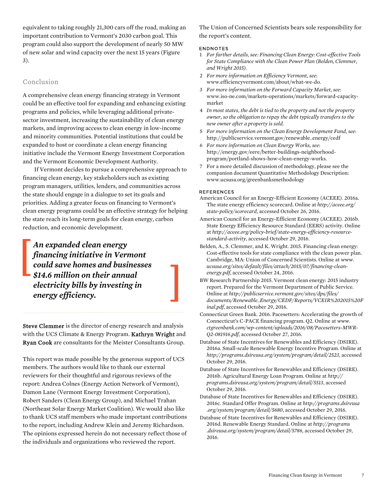equivalent to taking roughly 21,300 cars off the road, making an important contribution to Vermont's 2030 carbon goal. This program could also support the development of nearly 50 MW of new solar and wind capacity over the next 15 years (Figure 3).

#### Conclusion

A comprehensive clean energy financing strategy in Vermont could be an effective tool for expanding and enhancing existing programs and policies, while leveraging additional privatesector investment, increasing the sustainability of clean energy markets, and improving access to clean energy in low-income and minority communities. Potential institutions that could be expanded to host or coordinate a clean energy financing initiative include the Vermont Energy Investment Corporation and the Vermont Economic Development Authority.

 If Vermont decides to pursue a comprehensive approach to financing clean energy, key stakeholders such as existing program managers, utilities, lenders, and communities across the state should engage in a dialogue to set its goals and priorities. Adding a greater focus on financing to Vermont's clean energy programs could be an effective strategy for helping the state reach its long-term goals for clean energy, carbon reduction, and economic development.

*An expanded clean energy financing initiative in Vermont could save homes and businesses \$14.6 million on their annual electricity bills by investing in energy efficiency.* 

Steve Clemmer is the director of energy research and analysis with the UCS Climate & Energy Program. Kathryn Wright and Ryan Cook are consultants for the Meister Consultants Group.

This report was made possible by the generous support of UCS members. The authors would like to thank our external reviewers for their thoughtful and rigorous reviews of the report: Andrea Colnes (Energy Action Network of Vermont), Damon Lane (Vermont Energy Investment Corporation), Robert Sanders (Clean Energy Group), and Michael Trahan (Northeast Solar Energy Market Coalition). We would also like to thank UCS staff members who made important contributions to the report, including Andrew Klein and Jeremy Richardson. The opinions expressed herein do not necessary reflect those of the individuals and organizations who reviewed the report.

The Union of Concerned Scientists bears sole responsibility for the report's content.

#### ENDNOTES

- 1 *For further details, see: Financing Clean Energy: Cost-effective Tools for State Compliance with the Clean Power Plan (Belden, Clemmer, and Wright 2015).*
- 2 *For more information on Efficiency Vermont, see*: www.efficiencyvermont.com/about/what-we-do.
- 3 *For more information on the Forward Capacity Market, see*: www.iso-ne.com/markets-operations/markets/forward-capacitymarket
- 4 *In most states, the debt is tied to the property and not the property owner, so the obligation to repay the debt typically transfers to the new owner after a property is sold*.
- 5 *For more information on the Clean Energy Development Fund, see*: http://publicservice.vermont.gov/renewable\_energy/cedf
- 6 *For more information on Clean Energy Works, see*: http://energy.gov/eere/better-buildings-neighborhoodprogram/portland-shows-how-clean-energy-works.
- 7 For a more detailed discussion of methodology, please see the companion document Quantitative Methodology Description: www.ucsusa.org/greenbanksmethodology

#### **REFERENCES**

- American Council for an Energy-Efficient Economy (ACEEE). 2016a. The state energy efficiency scorecard. Online at *http://aceee.org/ state-policy/scorecard*, accessed October 26, 2016.
- American Council for an Energy-Efficient Economy (ACEEE). 2016b. State Energy Efficiency Resource Standard (EERS) activity. Online at *http://aceee.org/policy-brief/state-energy-efficiency-resourcestandard-activity*, accessed October 29, 2016.
- Belden, A., S. Clemmer, and K. Wright. 2015. Financing clean energy: Cost-effective tools for state compliance with the clean power plan. Cambridge, MA: Union of Concerned Scientists. Online at *www. ucsusa.org/sites/default/files/attach/2015/07/financing-cleanenergy.pdf*, accessed October 24, 2016.
- BW Research Partnership 2015. Vermont clean energy: 2015 industry report. Prepared for the Vermont Department of Public Service. Online at *http://publicservice.vermont.gov/sites/dps/files/ documents/Renewable\_Energy/CEDF/Reports/VCEIR%202015%20F inal.pdf*, accessed October 29, 2016.
- Connecticut Green Bank. 2016. Pacesetters: Accelerating the growth of Connecticut's C-PACE financing program. Q2. Online at *www. ctgreenbank.com/wp-content/uploads/2016/08/Pacesetters-MWR-Q2-081916.pdf*, accessed October 27, 2016.
- Database of State Incentives for Renewables and Efficiency (DSIRE). 2016a. Small-scale Renewable Energy Incentive Program. Online at *http://programs.dsireusa.org/system/program/detail/2523*, accessed October 29, 2016.
- Database of State Incentives for Renewables and Efficiency (DSIRE). 2016b. Agricultural Energy Loan Program. Online at *http:// programs.dsireusa.org/system/program/detail/5513*, accessed October 29, 2016.
- Database of State Incentives for Renewables and Efficiency (DSIRE). 2016c. Standard Offer Program. Online at *http://programs.dsireusa .org/system/program/detail/5680*, accessed October 29, 2016.
- Database of State Incentives for Renewables and Efficiency (DSIRE). 2016d. Renewable Energy Standard. Online at *http://programs .dsireusa.org/system/program/detail/5786*, accessed October 29, 2016.